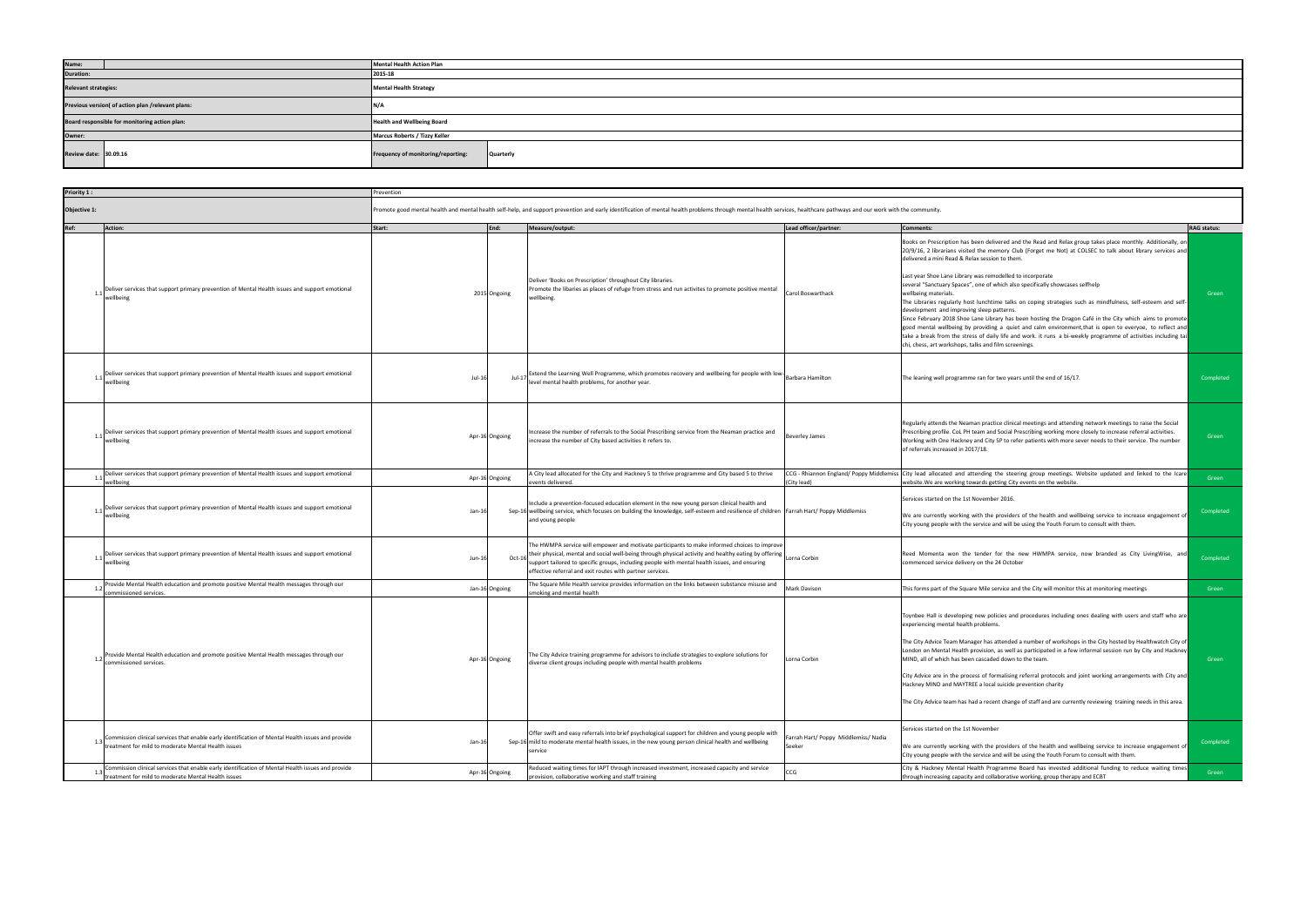| Priority 1:      |                                                                                                                                                          | Prevention                                                                                                                                                                                                             |                |                                                                                                                                                                                                                                                                                                                                                                                  |                                                |                                                                                                                                                                                                                                                                                                                                                                                                                                                                                                                                                                                                                                                                                                                                                                                                                                                                                                                                                                                                                   |                    |
|------------------|----------------------------------------------------------------------------------------------------------------------------------------------------------|------------------------------------------------------------------------------------------------------------------------------------------------------------------------------------------------------------------------|----------------|----------------------------------------------------------------------------------------------------------------------------------------------------------------------------------------------------------------------------------------------------------------------------------------------------------------------------------------------------------------------------------|------------------------------------------------|-------------------------------------------------------------------------------------------------------------------------------------------------------------------------------------------------------------------------------------------------------------------------------------------------------------------------------------------------------------------------------------------------------------------------------------------------------------------------------------------------------------------------------------------------------------------------------------------------------------------------------------------------------------------------------------------------------------------------------------------------------------------------------------------------------------------------------------------------------------------------------------------------------------------------------------------------------------------------------------------------------------------|--------------------|
| Objective 1:     |                                                                                                                                                          | Promote good mental health and mental health self-help, and support prevention and early identification of mental health problems through mental health services, healthcare pathways and our work with the community. |                |                                                                                                                                                                                                                                                                                                                                                                                  |                                                |                                                                                                                                                                                                                                                                                                                                                                                                                                                                                                                                                                                                                                                                                                                                                                                                                                                                                                                                                                                                                   |                    |
| Ref:             | <b>Action:</b>                                                                                                                                           | Start:                                                                                                                                                                                                                 | End:           | Measure/output:                                                                                                                                                                                                                                                                                                                                                                  | Lead officer/partner:                          | <b>Comments:</b>                                                                                                                                                                                                                                                                                                                                                                                                                                                                                                                                                                                                                                                                                                                                                                                                                                                                                                                                                                                                  | <b>RAG</b> status: |
| $\overline{1}$ . | Deliver services that support primary prevention of Mental Health issues and support emotional<br>wellbeing                                              |                                                                                                                                                                                                                        | 2015 Ongoing   | Deliver 'Books on Prescription' throughout City libraries.<br>Promote the libaries as places of refuge from stress and run activites to promote positive mental<br>wellbeing.                                                                                                                                                                                                    | Carol Boswarthack                              | Books on Prescription has been delivered and the Read and Relax group takes place monthly. Additionally, on<br>20/9/16, 2 librarians visited the memory Club (Forget me Not) at COLSEC to talk about library services and<br>delivered a mini Read & Relax session to them.<br>Last year Shoe Lane Library was remodelled to incorporate<br>several "Sanctuary Spaces", one of which also specifically showcases selfhelp<br>wellbeing materials.<br>The Libraries regularly host lunchtime talks on coping strategies such as mindfulness, self-esteem and self-<br>development and improving sleep patterns.<br>Since February 2018 Shoe Lane Library has been hosting the Dragon Café in the City which aims to promote<br>good mental wellbeing by providing a quiet and calm environment, that is open to everyoe, to reflect and<br>take a break from the stress of daily life and work. it runs a bi-weekly programme of activities including tai<br>chi, chess, art workshops, talks and film screenings. | Green              |
|                  | Deliver services that support primary prevention of Mental Health issues and support emotional<br>wellbeing                                              | $Jul-16$                                                                                                                                                                                                               | Jul-17         | <br> Extend the Learning Well Programme, which promotes recovery and wellbeing for people with low- <br> Barbara Hamilton<br>level mental health problems, for another year.                                                                                                                                                                                                     |                                                | The leaning well programme ran for two years until the end of 16/17.                                                                                                                                                                                                                                                                                                                                                                                                                                                                                                                                                                                                                                                                                                                                                                                                                                                                                                                                              | Completed          |
|                  | Deliver services that support primary prevention of Mental Health issues and support emotional<br>wellbeing                                              |                                                                                                                                                                                                                        | Apr-16 Ongoing | Increase the number of referrals to the Social Prescribing service from the Neaman practice and<br>increase the number of City based activities it refers to.                                                                                                                                                                                                                    | <b>Beverley James</b>                          | Regularly attends the Neaman practice clinical meetings and attending network meetings to raise the Social<br>Prescribing profile. CoL PH team and Social Prescribing working more closely to increase referral activities.<br>Working with One Hackney and City SP to refer patients with more sever needs to their service. The number<br>of referrals increased in 2017/18.                                                                                                                                                                                                                                                                                                                                                                                                                                                                                                                                                                                                                                    | Green              |
| 1.1              | Deliver services that support primary prevention of Mental Health issues and support emotional<br>wellbeing                                              |                                                                                                                                                                                                                        | Apr-16 Ongoing | A City lead allocated for the City and Hackney 5 to thrive programme and City based 5 to thrive<br>events delivered.                                                                                                                                                                                                                                                             | (City lead)                                    | CCG - Rhiannon England/ Poppy Middlemiss City lead allocated and attending the steering group meetings. Website updated and linked to the Icare<br>website. We are working towards getting City events on the website.                                                                                                                                                                                                                                                                                                                                                                                                                                                                                                                                                                                                                                                                                                                                                                                            | Green              |
| 1.1              | Deliver services that support primary prevention of Mental Health issues and support emotional<br>wellbeing                                              | $Jan-16$                                                                                                                                                                                                               |                | Include a prevention-focused education element in the new young person clinical health and<br>Sep-16 wellbeing service, which focuses on building the knowledge, self-esteem and resilience of children Farrah Hart/ Poppy Middlemiss<br>and young people                                                                                                                        |                                                | Services started on the 1st November 2016.<br>We are currently working with the providers of the health and wellbeing service to increase engagement of<br>City young people with the service and will be using the Youth Forum to consult with them.                                                                                                                                                                                                                                                                                                                                                                                                                                                                                                                                                                                                                                                                                                                                                             | Completed          |
| 1.1              | Deliver services that support primary prevention of Mental Health issues and support emotional<br>wellbeing                                              | Jun-16                                                                                                                                                                                                                 | $Oct-16$       | The HWMPA service will empower and motivate participants to make informed choices to improve<br>their physical, mental and social well-being through physical activity and healthy eating by offering Lorna Corbin<br>support tailored to specific groups, including people with mental health issues, and ensuring<br>effective referral and exit routes with partner services. |                                                | Reed Momenta won the tender for the new HWMPA service, now branded as City LivingWise, and<br>commenced service delivery on the 24 October                                                                                                                                                                                                                                                                                                                                                                                                                                                                                                                                                                                                                                                                                                                                                                                                                                                                        | Completed          |
|                  | Provide Mental Health education and promote positive Mental Health messages through our<br>commissioned services.                                        |                                                                                                                                                                                                                        | Jan-16 Ongoing | The Square Mile Health service provides information on the links between substance misuse and<br>smoking and mental health                                                                                                                                                                                                                                                       | Mark Davison                                   | This forms part of the Square Mile service and the City will monitor this at monitoring meetings                                                                                                                                                                                                                                                                                                                                                                                                                                                                                                                                                                                                                                                                                                                                                                                                                                                                                                                  | Green              |
|                  | Provide Mental Health education and promote positive Mental Health messages through our<br>commissioned services.                                        |                                                                                                                                                                                                                        | Apr-16 Ongoing | The City Advice training programme for advisors to include strategies to explore solutions for<br>diverse client groups including people with mental health problems                                                                                                                                                                                                             | Lorna Corbin                                   | Toynbee Hall is developing new policies and procedures including ones dealing with users and staff who are<br>experiencing mental health problems.<br>The City Advice Team Manager has attended a number of workshops in the City hosted by Healthwatch City of<br>London on Mental Health provision, as well as participated in a few informal session run by City and Hackney<br>MIND, all of which has been cascaded down to the team.<br>City Advice are in the process of formalising referral protocols and joint working arrangements with City and<br>Hackney MIND and MAYTREE a local suicide prevention charity<br>The City Advice team has had a recent change of staff and are currently reviewing training needs in this area.                                                                                                                                                                                                                                                                       | Green              |
|                  | Commission clinical services that enable early identification of Mental Health issues and provide<br>treatment for mild to moderate Mental Health issues | $Jan-16$                                                                                                                                                                                                               |                | Offer swift and easy referrals into brief psychological support for children and young people with<br>Sep-16 mild to moderate mental health issues, in the new young person clinical health and wellbeing<br>service                                                                                                                                                             | Farrah Hart/ Poppy Middlemiss/ Nadia<br>Seeker | Services started on the 1st November<br>We are currently working with the providers of the health and wellbeing service to increase engagement of<br>City young people with the service and will be using the Youth Forum to consult with them.                                                                                                                                                                                                                                                                                                                                                                                                                                                                                                                                                                                                                                                                                                                                                                   | Completed          |
|                  | Commission clinical services that enable early identification of Mental Health issues and provide<br>treatment for mild to moderate Mental Health issues |                                                                                                                                                                                                                        | Apr-16 Ongoing | Reduced waiting times for IAPT through increased investment, increased capacity and service<br>provision, collaborative working and staff training                                                                                                                                                                                                                               | CCG                                            | City & Hackney Mental Health Programme Board has invested additional funding to reduce waiting times<br>through increasing capacity and collaborative working, group therapy and ECBT                                                                                                                                                                                                                                                                                                                                                                                                                                                                                                                                                                                                                                                                                                                                                                                                                             | Green              |

| Name:                                             | Mental Health Action Plan                       |  |  |  |  |  |
|---------------------------------------------------|-------------------------------------------------|--|--|--|--|--|
| <b>Duration:</b>                                  | 2015-18                                         |  |  |  |  |  |
| <b>Relevant strategies:</b>                       | <b>Mental Health Strategy</b>                   |  |  |  |  |  |
| Previous version( of action plan /relevant plans: |                                                 |  |  |  |  |  |
| Board responsible for monitoring action plan:     | <b>Health and Wellbeing Board</b>               |  |  |  |  |  |
| Owner:                                            | Marcus Roberts / Tizzy Keller                   |  |  |  |  |  |
| Review date: 30.09.16                             | Frequency of monitoring/reporting:<br>Quarterly |  |  |  |  |  |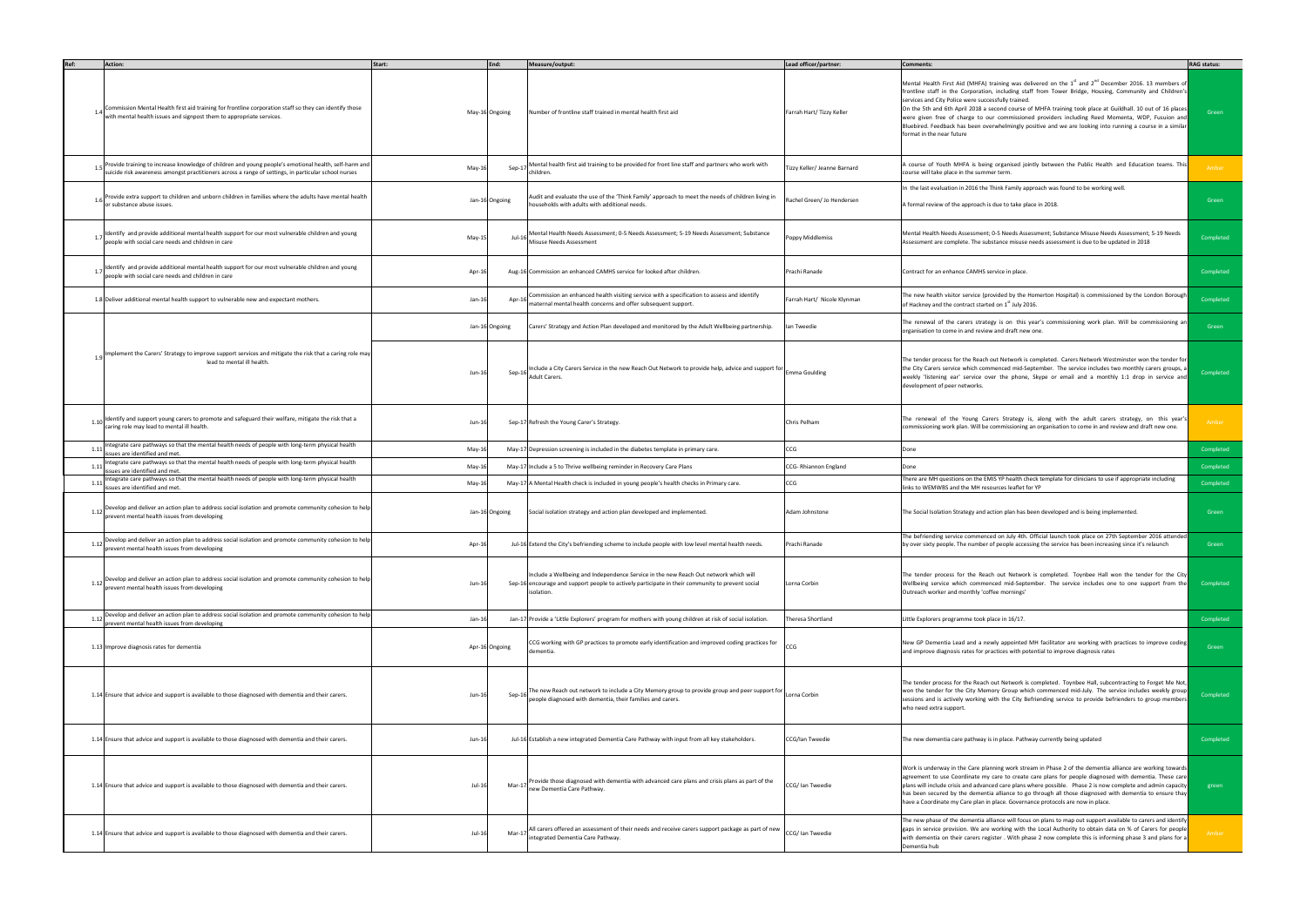|      | Action:                                                                                                                                                                                                       | Start:   | End:           | Measure/output:                                                                                                                                                                                        | Lead officer/partner:        | <b>Comments:</b>                                                                                                                                                                                                                                                                                                                                                                                                                                                                                                                                                                                                                                               | <b>RAG status:</b> |
|------|---------------------------------------------------------------------------------------------------------------------------------------------------------------------------------------------------------------|----------|----------------|--------------------------------------------------------------------------------------------------------------------------------------------------------------------------------------------------------|------------------------------|----------------------------------------------------------------------------------------------------------------------------------------------------------------------------------------------------------------------------------------------------------------------------------------------------------------------------------------------------------------------------------------------------------------------------------------------------------------------------------------------------------------------------------------------------------------------------------------------------------------------------------------------------------------|--------------------|
|      | Commission Mental Health first aid training for frontline corporation staff so they can identify those<br>with mental health issues and signpost them to appropriate services.                                |          | May-16 Ongoing | Number of frontline staff trained in mental health first aid                                                                                                                                           | Farrah Hart/ Tizzy Keller    | Mental Health First Aid (MHFA) training was delivered on the 1 <sup>st</sup> and 2 <sup>nd</sup> December 2016. 13 members of<br>frontline staff in the Corporation, including staff from Tower Bridge, Housing, Community and Children's<br>services and City Police were successfully trained.<br>On the 5th and 6th April 2018 a second course of MHFA training took place at Guildhall. 10 out of 16 places<br>were given free of charge to our commissioned providers including Reed Momenta, WDP, Fusuion and<br>Bluebired. Feedback has been overwhelmingly positive and we are looking into running a course in a similar<br>format in the near future | Green              |
|      | Provide training to increase knowledge of children and young people's emotional health, self-harm and<br>suicide risk awareness amongst practitioners across a range of settings, in particular school nurses | May-16   |                | Mental health first aid training to be provided for front line staff and partners who work with<br>Sep-17<br>children.                                                                                 | Tizzy Keller/ Jeanne Barnard | A course of Youth MHFA is being organised jointly between the Public Health  and Education teams. This<br>course will take place in the summer term.                                                                                                                                                                                                                                                                                                                                                                                                                                                                                                           | Amber              |
| 1.6  | Provide extra support to children and unborn children in families where the adults have mental health<br>or substance abuse issues.                                                                           |          | Jan-16 Ongoing | Audit and evaluate the use of the 'Think Family' approach to meet the needs of children living in<br>households with adults with additional needs.                                                     | Rachel Green/ Jo Hendersen   | In the last evaluation in 2016 the Think Family approach was found to be working well.<br>A formal review of the approach is due to take place in 2018.                                                                                                                                                                                                                                                                                                                                                                                                                                                                                                        | Green              |
| 1.7  | Identify and provide additional mental health support for our most vulnerable children and young<br>people with social care needs and children in care                                                        | May-15   |                | Mental Health Needs Assessment; 0-5 Needs Assessment; 5-19 Needs Assessment; Substance<br>Jul-16<br>Misuse Needs Assessment                                                                            | Poppy Middlemiss             | Mental Health Needs Assessment; 0-5 Needs Assessment; Substance Misuse Needs Assessment; 5-19 Needs<br>Assessment are complete. The substance misuse needs assessment is due to be updated in 2018                                                                                                                                                                                                                                                                                                                                                                                                                                                             | Completed          |
|      | Identify and provide additional mental health support for our most vulnerable children and young<br>people with social care needs and children in care                                                        | Apr-16   |                | Aug-16 Commission an enhanced CAMHS service for looked after children.                                                                                                                                 | Prachi Ranade                | Contract for an enhance CAMHS service in place.                                                                                                                                                                                                                                                                                                                                                                                                                                                                                                                                                                                                                | Completed          |
|      | 1.8 Deliver additional mental health support to vulnerable new and expectant mothers.                                                                                                                         | Jan-16   |                | Commission an enhanced health visiting service with a specification to assess and identify<br>Apr-16<br>maternal mental health concerns and offer subsequent support.                                  | Farrah Hart/ Nicole Klynman  | The new health visitor service (provided by the Homerton Hospital) is commissioned by the London Borough<br>of Hackney and the contract started on 1st July 2016.                                                                                                                                                                                                                                                                                                                                                                                                                                                                                              | Completed          |
|      |                                                                                                                                                                                                               |          | Jan-16 Ongoing | Carers' Strategy and Action Plan developed and monitored by the Adult Wellbeing partnership.                                                                                                           | lan Tweedie                  | The renewal of the carers strategy is on this year's commissioning work plan. Will be commissioning an<br>organisation to come in and review and draft new one.                                                                                                                                                                                                                                                                                                                                                                                                                                                                                                | Green              |
|      | Implement the Carers' Strategy to improve support services and mitigate the risk that a caring role may<br>lead to mental ill health.                                                                         | $Jun-16$ |                | Include a City Carers Service in the new Reach Out Network to provide help, advice and support for Emma Goulding<br>Sep-16<br>Adult Carers.                                                            |                              | The tender process for the Reach out Network is completed. Carers Network Westminster won the tender for<br>the City Carers service which commenced mid-September. The service includes two monthly carers groups, a<br>weekly 'listening ear' service over the phone, Skype or email and a monthly 1:1 drop in service and<br>development of peer networks.                                                                                                                                                                                                                                                                                                   | Completed          |
| 1.10 | Identify and support young carers to promote and safeguard their welfare, mitigate the risk that a<br>caring role may lead to mental ill health.                                                              | Jun-16   |                | Sep-17 Refresh the Young Carer's Strategy.                                                                                                                                                             | Chris Pelham                 | The renewal of the Young Carers Strategy is, along with the adult carers strategy, on this year's<br>commissioning work plan. Will be commissioning an organisation to come in and review and draft new one.                                                                                                                                                                                                                                                                                                                                                                                                                                                   | Amber              |
| 1.11 | Integrate care pathways so that the mental health needs of people with long-term physical health<br>issues are identified and met.                                                                            | May-16   |                | May-17 Depression screening is included in the diabetes template in primary care.                                                                                                                      | CCG                          | Done                                                                                                                                                                                                                                                                                                                                                                                                                                                                                                                                                                                                                                                           | Completed          |
| 1.11 | Integrate care pathways so that the mental health needs of people with long-term physical health<br>issues are identified and met.                                                                            | May-16   |                | May-17 Include a 5 to Thrive wellbeing reminder in Recovery Care Plans                                                                                                                                 | CCG-Rhiannon England         | Done                                                                                                                                                                                                                                                                                                                                                                                                                                                                                                                                                                                                                                                           | Completed          |
| 1.11 | Integrate care pathways so that the mental health needs of people with long-term physical health<br>issues are identified and met.                                                                            | May-16   |                | May-17 A Mental Health check is included in young people's health checks in Primary care.                                                                                                              | CCG                          | There are MH questions on the EMIS YP health check template for clinicians to use if appropriate including<br>links to WEMWBS and the MH resources leaflet for YP                                                                                                                                                                                                                                                                                                                                                                                                                                                                                              | Completed          |
|      | 1.12 Develop and deliver an action plan to address social isolation and promote community cohesion to help<br>prevent mental health issues from developing                                                    |          | Jan-16 Ongoing | Social isolation strategy and action plan developed and implemented.                                                                                                                                   | Adam Johnstone               | The Social Isolation Strategy and action plan has been developed and is being implemented.                                                                                                                                                                                                                                                                                                                                                                                                                                                                                                                                                                     | Green              |
| 1.12 | Develop and deliver an action plan to address social isolation and promote community cohesion to help<br>event mental health issues from developing                                                           | Apr-16   |                | Jul-16 Extend the City's befriending scheme to include people with low level mental health needs.                                                                                                      | Prachi Ranade                | The befriending service commenced on July 4th. Official launch took place on 27th September 2016 attended<br>by over sixty people. The number of people accessing the service has been increasing since it's relaunch                                                                                                                                                                                                                                                                                                                                                                                                                                          | Green              |
| 1.12 | Develop and deliver an action plan to address social isolation and promote community cohesion to help<br>prevent mental health issues from developing                                                         | Jun-16   |                | Include a Wellbeing and Independence Service in the new Reach Out network which will<br>Sep-16 encourage and support people to actively participate in their community to prevent social<br>isolation. | Lorna Corbin                 | The tender process for the Reach out Network is completed. Toynbee Hall won the tender for the City<br>Wellbeing service which commenced mid-September. The service includes one to one support from the<br>Outreach worker and monthly 'coffee mornings'                                                                                                                                                                                                                                                                                                                                                                                                      | Completed          |
| 1.12 | Develop and deliver an action plan to address social isolation and promote community cohesion to help<br>prevent mental health issues from developing                                                         | $Jan-16$ |                | Jan-17 Provide a 'Little Explorers' program for mothers with young children at risk of social isolation.                                                                                               | Theresa Shortland            | Little Explorers programme took place in 16/17.                                                                                                                                                                                                                                                                                                                                                                                                                                                                                                                                                                                                                | Completed          |
|      | 1.13 Improve diagnosis rates for dementia                                                                                                                                                                     |          | Apr-16 Ongoing | CCG working with GP practices to promote early identification and improved coding practices for<br>dementia.                                                                                           |                              | New GP Dementia Lead and a newly appointed MH facilitator are working with practices to improve coding<br>and improve diagnosis rates for practices with potential to improve diagnosis rates                                                                                                                                                                                                                                                                                                                                                                                                                                                                  | Green              |
|      | 1.14 Ensure that advice and support is available to those diagnosed with dementia and their carers.                                                                                                           | Jun-16   |                | The new Reach out network to include a City Memory group to provide group and peer support for Lorna Corbin<br>Sep-16<br>people diagnosed with dementia, their families and carers.                    |                              | The tender process for the Reach out Network is completed. Toynbee Hall, subcontracting to Forget Me Not,<br>won the tender for the City Memory Group which commenced mid-July. The service includes weekly group<br>sessions and is actively working with the City Befriending service to provide befrienders to group members<br>who need extra support.                                                                                                                                                                                                                                                                                                     | Completed          |
|      | 1.14 Ensure that advice and support is available to those diagnosed with dementia and their carers.                                                                                                           | Jun-16   |                | Jul-16 Establish a new integrated Dementia Care Pathway with input from all key stakeholders.                                                                                                          | CCG/Ian Tweedie              | The new dementia care pathway is in place. Pathway currently being updated                                                                                                                                                                                                                                                                                                                                                                                                                                                                                                                                                                                     | Completed          |
|      | 1.14 Ensure that advice and support is available to those diagnosed with dementia and their carers.                                                                                                           | Jul-16   |                | Provide those diagnosed with dementia with advanced care plans and crisis plans as part of the<br>Mar-17<br>new Dementia Care Pathway.                                                                 | CCG/ Ian Tweedie             | Work is underway in the Care planning work stream in Phase 2 of the dementia alliance are working towards<br>agreement to use Coordinate my care to create care plans for people diagnosed with dementia. These care<br>plans will include crisis and advanced care plans where possible. Phase 2 is now complete and admin capacity<br>has been secured by the dementia alliance to go through all those diagnosed with dementia to ensure thay<br>have a Coordinate my Care plan in place. Governance protocols are now in place.                                                                                                                            | green              |
|      | 1.14 Ensure that advice and support is available to those diagnosed with dementia and their carers.                                                                                                           | Jul-16   |                | All carers offered an assessment of their needs and receive carers support package as part of new<br>Mar-17<br>integrated Dementia Care Pathway.                                                       | CCG/ Ian Tweedie             | The new phase of the dementia alliance will focus on plans to map out support available to carers and identify<br>gaps in service provision. We are working with the Local Authority to obtain data on % of Carers for people<br>with dementia on their carers register. With phase 2 now complete this is informing phase 3 and plans for a<br>Dementia hub                                                                                                                                                                                                                                                                                                   | Amber              |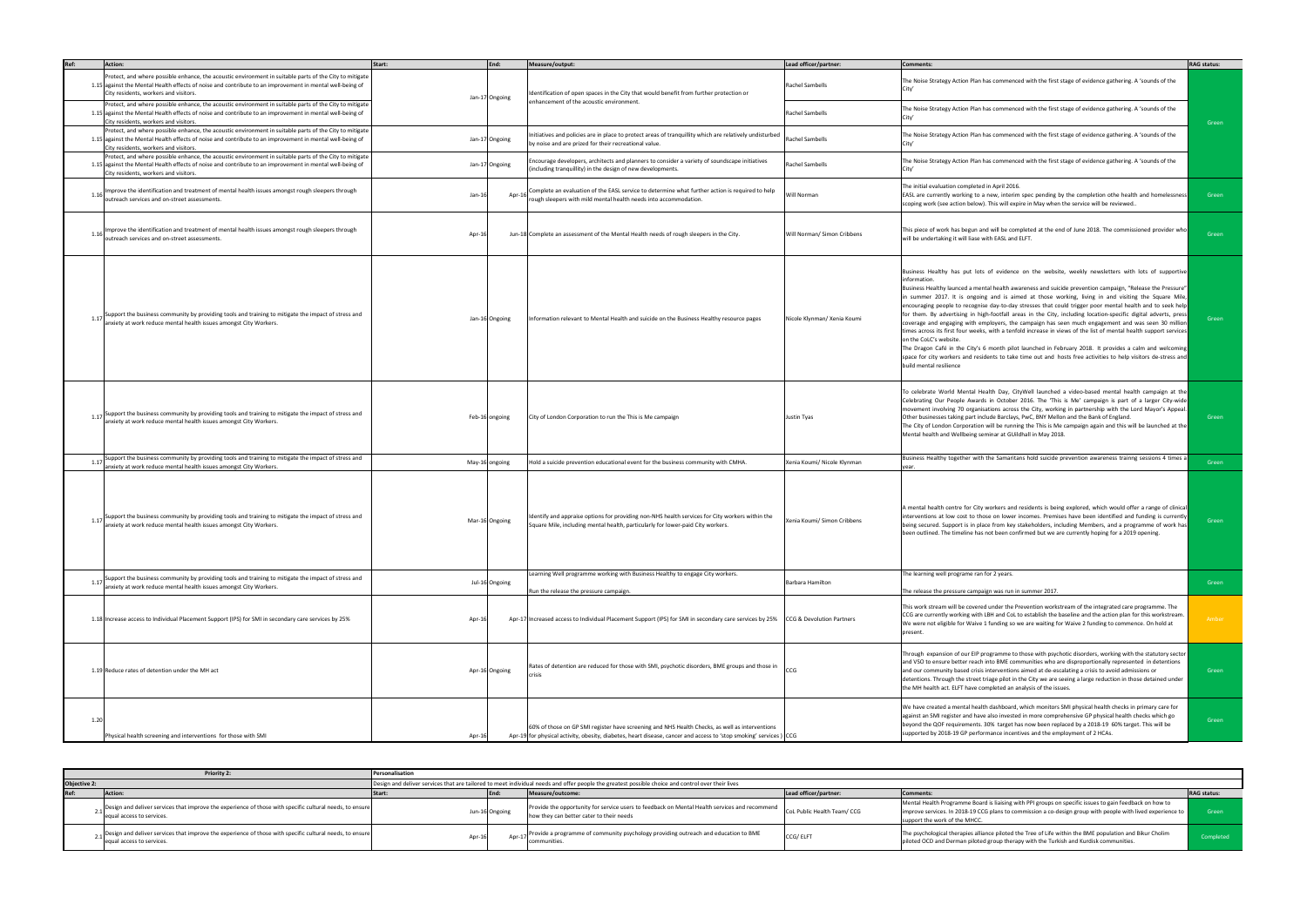| Ref: | Action:                                                                                                                                                                                                                                                      | Start:   | End:           | Measure/output:                                                                                                                                                                                                     | Lead officer/partner:       | Comments:                                                                                                                                                                                                                                                                                                                                                                                                                                                                                                                                                                                                                                                                                                                                                                                                                                                                                                                                                                                                                                                                                 | <b>RAG status:</b> |
|------|--------------------------------------------------------------------------------------------------------------------------------------------------------------------------------------------------------------------------------------------------------------|----------|----------------|---------------------------------------------------------------------------------------------------------------------------------------------------------------------------------------------------------------------|-----------------------------|-------------------------------------------------------------------------------------------------------------------------------------------------------------------------------------------------------------------------------------------------------------------------------------------------------------------------------------------------------------------------------------------------------------------------------------------------------------------------------------------------------------------------------------------------------------------------------------------------------------------------------------------------------------------------------------------------------------------------------------------------------------------------------------------------------------------------------------------------------------------------------------------------------------------------------------------------------------------------------------------------------------------------------------------------------------------------------------------|--------------------|
|      | Protect, and where possible enhance, the acoustic environment in suitable parts of the City to mitigate<br>1.15 against the Mental Health effects of noise and contribute to an improvement in mental well-being of<br>City residents, workers and visitors. |          | Jan-17 Ongoing | dentification of open spaces in the City that would benefit from further protection or                                                                                                                              | Rachel Sambells             | The Noise Strategy Action Plan has commenced with the first stage of evidence gathering. A 'sounds of the                                                                                                                                                                                                                                                                                                                                                                                                                                                                                                                                                                                                                                                                                                                                                                                                                                                                                                                                                                                 |                    |
|      | Protect, and where possible enhance, the acoustic environment in suitable parts of the City to mitigate<br>1.15 against the Mental Health effects of noise and contribute to an improvement in mental well-being of<br>City residents, workers and visitors. |          |                | enhancement of the acoustic environment.                                                                                                                                                                            | <b>Rachel Sambells</b>      | The Noise Strategy Action Plan has commenced with the first stage of evidence gathering. A 'sounds of the                                                                                                                                                                                                                                                                                                                                                                                                                                                                                                                                                                                                                                                                                                                                                                                                                                                                                                                                                                                 | Green              |
|      | Protect, and where possible enhance, the acoustic environment in suitable parts of the City to mitigate<br>1.15 against the Mental Health effects of noise and contribute to an improvement in mental well-being of<br>City residents, workers and visitors. |          | Jan-17 Ongoing | nitiatives and policies are in place to protect areas of tranquillity which are relatively undisturbed<br>by noise and are prized for their recreational value.                                                     | <b>Rachel Sambells</b>      | The Noise Strategy Action Plan has commenced with the first stage of evidence gathering. A 'sounds of the                                                                                                                                                                                                                                                                                                                                                                                                                                                                                                                                                                                                                                                                                                                                                                                                                                                                                                                                                                                 |                    |
|      | Protect, and where possible enhance, the acoustic environment in suitable parts of the City to mitigate<br>1.15 against the Mental Health effects of noise and contribute to an improvement in mental well-being of<br>City residents, workers and visitors. |          | Jan-17 Ongoing | Encourage developers, architects and planners to consider a variety of soundscape initiatives<br>(including tranquillity) in the design of new developments.                                                        | Rachel Sambells             | The Noise Strategy Action Plan has commenced with the first stage of evidence gathering. A 'sounds of the                                                                                                                                                                                                                                                                                                                                                                                                                                                                                                                                                                                                                                                                                                                                                                                                                                                                                                                                                                                 |                    |
| 1.16 | Improve the identification and treatment of mental health issues amongst rough sleepers through<br>outreach services and on-street assessments.                                                                                                              | $Jan-16$ | Apr-16         | Complete an evaluation of the EASL service to determine what further action is required to help<br>rough sleepers with mild mental health needs into accommodation.                                                 | Will Norman                 | The initial evaluation completed in April 2016.<br>EASL are currently working to a new, interim spec pending by the completion othe health and homelessness<br>scoping work (see action below). This will expire in May when the service will be reviewed                                                                                                                                                                                                                                                                                                                                                                                                                                                                                                                                                                                                                                                                                                                                                                                                                                 | Green              |
|      | 1.16 Improve the identification and treatment of mental health issues amongst rough sleepers through<br>outreach services and on-street assessments.                                                                                                         | Apr-1    |                | Jun-18 Complete an assessment of the Mental Health needs of rough sleepers in the City.                                                                                                                             | Will Norman/ Simon Cribbens | This piece of work has begun and will be completed at the end of June 2018. The commissioned provider who<br>will be undertaking it will liase with EASL and ELFT.                                                                                                                                                                                                                                                                                                                                                                                                                                                                                                                                                                                                                                                                                                                                                                                                                                                                                                                        | Green              |
|      | 1.17 Support the business community by providing tools and training to mitigate the impact of stress and<br>anxiety at work reduce mental health issues amongst City Workers.                                                                                |          | Jan-16 Ongoing | Information relevant to Mental Health and suicide on the Business Healthy resource pages                                                                                                                            | Nicole Klynman/ Xenia Koumi | Business Healthy has put lots of evidence on the website, weekly newsletters with lots of supportive<br>information.<br>"Business Healthy launced a mental health awareness and suicide prevention campaign, "Release the Pressure<br>in summer 2017. It is ongoing and is aimed at those working, living in and visiting the Square Mile,<br>encouraging people to recognise day-to-day stresses that could trigger poor mental health and to seek help<br>for them. By advertising in high-footfall areas in the City, including location-specific digital adverts, press<br>coverage and engaging with employers, the campaign has seen much engagement and was seen 30 million<br>times across its first four weeks, with a tenfold increase in views of the list of mental health support services<br>on the CoLC's website.<br>The Dragon Café in the City's 6 month pilot launched in February 2018. It provides a calm and welcoming<br>space for city workers and residents to take time out and hosts free activities to help visitors de-stress and<br>build mental resilience | Green              |
|      | 1.17 Support the business community by providing tools and training to mitigate the impact of stress and<br>anxiety at work reduce mental health issues amongst City Workers.                                                                                |          | Feb-16 ongoing | City of London Corporation to run the This is Me campaign                                                                                                                                                           | <b>Justin Tyas</b>          | To celebrate World Mental Health Day, CityWell launched a video-based mental health campaign at the<br>Celebrating Our People Awards in October 2016. The 'This is Me' campaign is part of a larger City-wide<br>movement involving 70 organisations across the City, working in partnership with the Lord Mayor's Appeal.<br>Other businesses taking part include Barclays, PwC, BNY Mellon and the Bank of England.<br>The City of London Corporation will be running the This is Me campaign again and this will be launched at the<br>Mental health and Wellbeing seminar at GUildhall in May 2018.                                                                                                                                                                                                                                                                                                                                                                                                                                                                                   | Green              |
| 1.17 | Support the business community by providing tools and training to mitigate the impact of stress and<br>anxiety at work reduce mental health issues amongst City Workers.                                                                                     |          | May-16 ongoing | Hold a suicide prevention educational event for the business community with CMHA.                                                                                                                                   | Xenia Koumi/ Nicole Klynman | Business Healthy together with the Samaritans hold suicide prevention awareness trainng sessions 4 times a                                                                                                                                                                                                                                                                                                                                                                                                                                                                                                                                                                                                                                                                                                                                                                                                                                                                                                                                                                                | Green              |
|      | iupport the business community by providing tools and training to mitigate the impact of stress and<br>anxiety at work reduce mental health issues amongst City Workers.                                                                                     |          | Mar-16 Ongoing | Identify and appraise options for providing non-NHS health services for City workers within the<br>Square Mile, including mental health, particularly for lower-paid City workers.                                  | Xenia Koumi/ Simon Cribbens | A mental health centre for City workers and residents is being explored, which would offer a range of clinical<br>interventions at low cost to those on lower incomes. Premises have been identified and funding is currently<br>being secured. Support is in place from key stakeholders, including Members, and a programme of work has<br>been outlined. The timeline has not been confirmed but we are currently hoping for a 2019 opening.                                                                                                                                                                                                                                                                                                                                                                                                                                                                                                                                                                                                                                           | Green              |
| 1.17 | Support the business community by providing tools and training to mitigate the impact of stress and<br>anxiety at work reduce mental health issues amongst City Workers.                                                                                     |          | Jul-16 Ongoing | Learning Well programme working with Business Healthy to engage City workers.<br>Run the release the pressure campaign.                                                                                             | Barbara Hamilton            | The learning well programe ran for 2 years.<br>The release the pressure campaign was run in summer 2017.                                                                                                                                                                                                                                                                                                                                                                                                                                                                                                                                                                                                                                                                                                                                                                                                                                                                                                                                                                                  | Green              |
|      | 1.18 Increase access to Individual Placement Support (IPS) for SMI in secondary care services by 25%                                                                                                                                                         | Apr-1    |                | Apr-17 Increased access to Individual Placement Support (IPS) for SMI in secondary care services by 25% CCG & Devolution Partners                                                                                   |                             | This work stream will be covered under the Prevention workstream of the integrated care programme. The<br>CCG are currently working with LBH and CoL to establish the baseline and the action plan for this workstream.<br>We were not eligible for Waive 1 funding so we are waiting for Waive 2 funding to commence. On hold at<br>present.                                                                                                                                                                                                                                                                                                                                                                                                                                                                                                                                                                                                                                                                                                                                             | Amber              |
|      | 1.19 Reduce rates of detention under the MH act                                                                                                                                                                                                              |          | Apr-16 Ongoing | Rates of detention are reduced for those with SMI, psychotic disorders, BME groups and those in<br>crisis                                                                                                           |                             | Through expansion of our EIP programme to those with psychotic disorders, working with the statutory sector<br>and VSO to ensure better reach into BME communities who are disproportionally represented in detentions<br>and our community based crisis interventions aimed at de-escalating a crisis to avoid admissions or<br>detentions. Through the street triage pilot in the City we are seeing a large reduction in those detained under<br>the MH health act. ELFT have completed an analysis of the issues.                                                                                                                                                                                                                                                                                                                                                                                                                                                                                                                                                                     | Green              |
| 1.2C | Physical health screening and interventions for those with SMI                                                                                                                                                                                               | Apr-16   |                | 60% of those on GP SMI register have screening and NHS Health Checks, as well as interventions<br>Apr-19 for physical activity, obesity, diabetes, heart disease, cancer and access to 'stop smoking' services) CCG |                             | We have created a mental health dashboard, which monitors SMI physical health checks in primary care for<br>against an SMI register and have also invested in more comprehensive GP physical health checks which go<br>beyond the QOF requirements. 30% target has now been replaced by a 2018-19 60% target. This will be<br>supported by 2018-19 GP performance incentives and the employment of 2 HCAs.                                                                                                                                                                                                                                                                                                                                                                                                                                                                                                                                                                                                                                                                                | Green              |

|                     | <b>Priority 2</b>                                                                                                                      | Personalisation |                                                                                                                                                   |                                                                                                                                            |                             |                                                                                                                                                                                                                                                         |                    |  |  |  |
|---------------------|----------------------------------------------------------------------------------------------------------------------------------------|-----------------|---------------------------------------------------------------------------------------------------------------------------------------------------|--------------------------------------------------------------------------------------------------------------------------------------------|-----------------------------|---------------------------------------------------------------------------------------------------------------------------------------------------------------------------------------------------------------------------------------------------------|--------------------|--|--|--|
| <b>Objective 2:</b> |                                                                                                                                        |                 | Design and deliver services that are tailored to meet individual needs and offer people the greatest possible choice and control over their lives |                                                                                                                                            |                             |                                                                                                                                                                                                                                                         |                    |  |  |  |
|                     | Action:                                                                                                                                |                 |                                                                                                                                                   | Measure/outcome:                                                                                                                           | Lead officer/partner:       | Comments:                                                                                                                                                                                                                                               | <b>RAG status:</b> |  |  |  |
|                     | Design and deliver services that improve the experience of those with specific cultural needs, to ensure<br>lequal access to services. |                 | Jun-16 Ongoing                                                                                                                                    | Provide the opportunity for service users to feedback on Mental Health services and recommend<br>Thow they can better cater to their needs | CoL Public Health Team/ CCG | Mental Health Programme Board is liaising with PPI groups on specific issues to gain feedback on how to<br>improve services. In 2018-19 CCG plans to commission a co-design group with people with lived experience to<br>support the work of the MHCC. | Green              |  |  |  |
|                     | Design and deliver services that improve the experience of those with specific cultural needs, to ensure<br>equal access to services.  | Apr-1           |                                                                                                                                                   | Provide a programme of community psychology providing outreach and education to BME<br>communities                                         | CCG/ ELFT                   | The psychological therapies alliance piloted the Tree of Life within the BME population and Bikur Cholim<br>piloted OCD and Derman piloted group therapy with the Turkish and Kurdisk communities.                                                      | Completed          |  |  |  |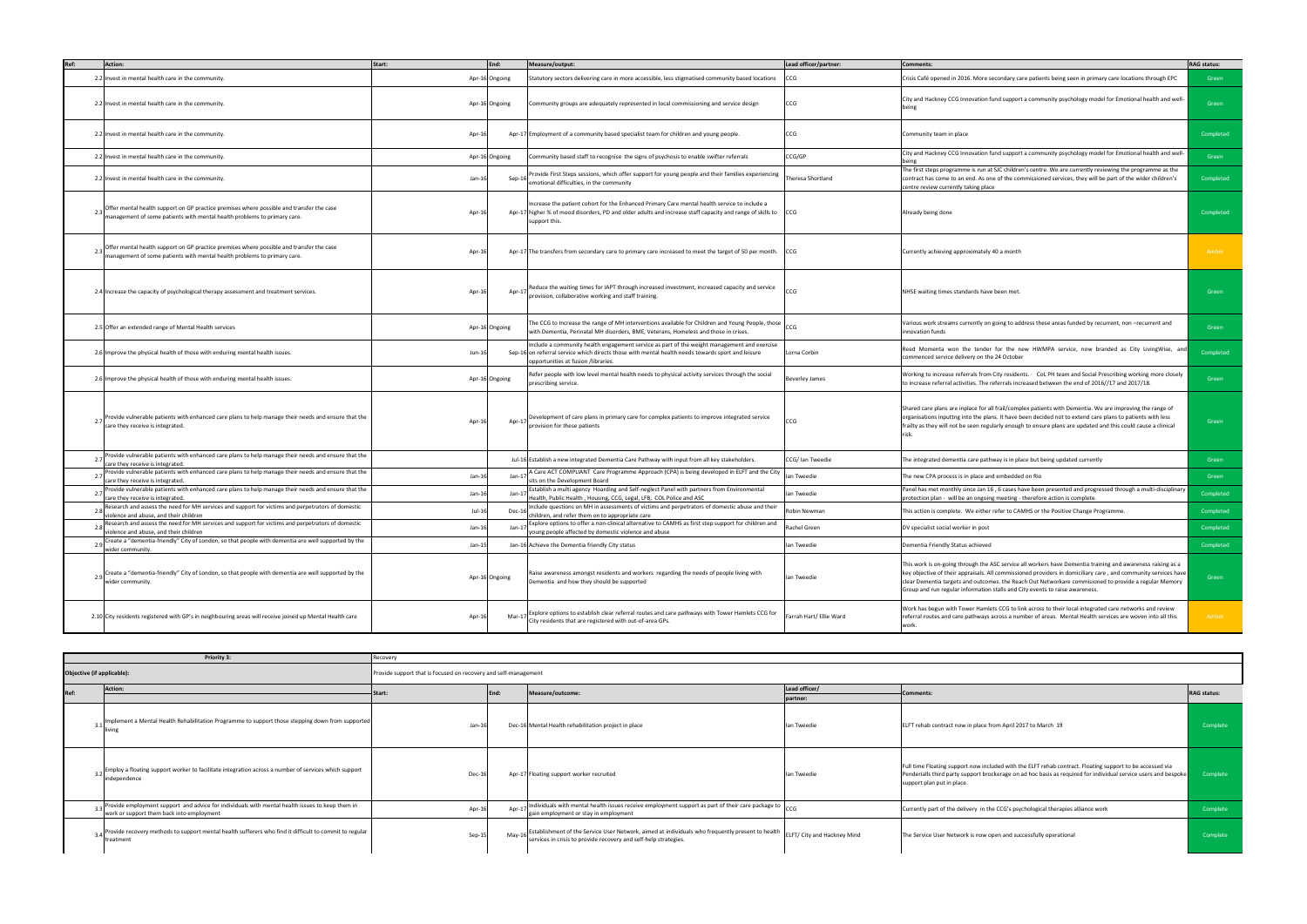| Ref:                       | Action:                                                                                                                                                              | Start:                                                          | End:           | Measure/output:                                                                                                                                                                                                                         | Lead officer/partner:   | <b>Comments:</b>                                                                                                                                                                                                                                                                                                                                                                                                       | <b>RAG status:</b> |
|----------------------------|----------------------------------------------------------------------------------------------------------------------------------------------------------------------|-----------------------------------------------------------------|----------------|-----------------------------------------------------------------------------------------------------------------------------------------------------------------------------------------------------------------------------------------|-------------------------|------------------------------------------------------------------------------------------------------------------------------------------------------------------------------------------------------------------------------------------------------------------------------------------------------------------------------------------------------------------------------------------------------------------------|--------------------|
|                            | 2.2 Invest in mental health care in the community.                                                                                                                   |                                                                 | Apr-16 Ongoing | Statutory sectors delivering care in more accessible, less stigmatised community based locations                                                                                                                                        | CCG                     | Crisis Café opened in 2016. More secondary care patients being seen in primary care locations through EPC                                                                                                                                                                                                                                                                                                              | Green              |
|                            | 2.2 Invest in mental health care in the community.                                                                                                                   |                                                                 | Apr-16 Ongoing | Community groups are adequately represented in local commissioning and service design                                                                                                                                                   | CCG                     | City and Hackney CCG Innovation fund support a community psychology model for Emotional health and well-<br>being                                                                                                                                                                                                                                                                                                      | Green              |
|                            | 2.2 Invest in mental health care in the community.                                                                                                                   | Apr-16                                                          |                | Apr-17 Employment of a community based specialist team for children and young people.                                                                                                                                                   | CCG                     | Community team in place                                                                                                                                                                                                                                                                                                                                                                                                | Completed          |
|                            | 2.2 Invest in mental health care in the community.                                                                                                                   |                                                                 | Apr-16 Ongoing | Community based staff to recognise the signs of psychosis to enable swifter referrals                                                                                                                                                   | CCG/GP                  | City and Hackney CCG Innovation fund support a community psychology model for Emotional health and well-                                                                                                                                                                                                                                                                                                               | Green              |
|                            | 2.2 Invest in mental health care in the community.                                                                                                                   | Jan-16                                                          | Sep-16         | Provide First Steps sessions, which offer support for young people and their families experiencing<br>emotional difficulties, in the community                                                                                          | Theresa Shortland       | The first steps programme is run at SJC children's centre. We are currently reviewing the programme as the<br>contract has come to an end. As one of the commissioned services, they will be part of the wider children's<br>centre review currently taking place                                                                                                                                                      | Completed          |
|                            | Offer mental health support on GP practice premises where possible and transfer the case<br>management of some patients with mental health problems to primary care. | Apr-1                                                           |                | Increase the patient cohort for the Enhanced Primary Care mental health service to include a<br>Apr-17 higher % of mood disorders, PD and older adults and increase staff capacity and range of skills to CCG<br>support this.          |                         | Already being done                                                                                                                                                                                                                                                                                                                                                                                                     | Completed          |
|                            | Offer mental health support on GP practice premises where possible and transfer the case<br>management of some patients with mental health problems to primary care. | Apr-1                                                           |                | Apr-17 The transfers from secondary care to primary care increased to meet the target of 50 per month.                                                                                                                                  | CCG                     | Currently achieving approximately 40 a month                                                                                                                                                                                                                                                                                                                                                                           | Amber              |
|                            | 2.4 Increase the capacity of psychological therapy assessment and treatment services.                                                                                | Apr-1                                                           | Apr-17         | Reduce the waiting times for IAPT through increased investment, increased capacity and service<br>provision, collaborative working and staff training.                                                                                  |                         | NHSE waiting times standards have been met.                                                                                                                                                                                                                                                                                                                                                                            | Green              |
|                            | 2.5 Offer an extended range of Mental Health services                                                                                                                |                                                                 | Apr-16 Ongoing | The CCG to Increase the range of MH interventions available for Children and Young People, those<br>with Dementia, Perinatal MH disorders, BME, Veterans, Homeless and those in crises.                                                 | CCG                     | Various work streams currently on going to address these areas funded by recurrent, non --recurrent and<br>nnovation funds                                                                                                                                                                                                                                                                                             | Green              |
|                            | 2.6 Improve the physical health of those with enduring mental health issues.                                                                                         | $Jun-16$                                                        |                | Include a community health engagement service as part of the weight management and exercise<br>Sep-16 on referral service which directs those with mental health needs towards sport and leisure<br>opportunities at fusion /libraries. | Lorna Corbin            | Reed Momenta won the tender for the new HWMPA service, now branded as City LivingWise, and<br>commenced service delivery on the 24 October                                                                                                                                                                                                                                                                             | Completed          |
|                            | 2.6 Improve the physical health of those with enduring mental health issues.                                                                                         |                                                                 | Apr-16 Ongoing | Refer people with low level mental health needs to physical activity services through the social<br>prescribing service.                                                                                                                | <b>Beverley James</b>   | Working to increase referrals from City residents. • CoL PH team and Social Prescribing working more closely<br>to increase referral activities. The referrals increased between the end of 2016//17 and 2017/18.                                                                                                                                                                                                      | Green              |
|                            | Provide vulnerable patients with enhanced care plans to help manage their needs and ensure that the<br>care they receive is integrated.                              | Apr-1                                                           | Apr-17         | Development of care plans in primary care for complex patients to improve integrated service<br>provision for these patients                                                                                                            | CCG                     | Shared care plans are inplace for all frail/complex patients with Dementia. We are improving the range of<br>organisations inputtng into the plans. It have been decided not to extend care plans to patients with less<br>frailty as they will not be seen regularly enough to ensure plans are updated and this could cause a clinical                                                                               | Green              |
|                            | Provide vulnerable patients with enhanced care plans to help manage their needs and ensure that the<br>care they receive is integrated.                              |                                                                 |                | Jul-16 Establish a new integrated Dementia Care Pathway with input from all key stakeholders.                                                                                                                                           | CCG/ Ian Tweedie        | The integrated dementia care pathway is in place but being updated currently                                                                                                                                                                                                                                                                                                                                           | Green              |
|                            | Provide vulnerable patients with enhanced care plans to help manage their needs and ensure that the<br>care they receive is integrated.                              | Jan-1                                                           | Jan-1          | A Care ACT COMPLIANT Care Programme Approach (CPA) is being developed in ELFT and the City<br>sits on the Development Board                                                                                                             | lan Tweedie             | The new CPA process is in place and embedded on Rio                                                                                                                                                                                                                                                                                                                                                                    | Green              |
|                            | Provide vulnerable patients with enhanced care plans to help manage their needs and ensure that the<br>care they receive is integrated.                              | Jan-1                                                           | Jan-1          | Establish a multi agency Hoarding and Self-neglect Panel with partners from Environmental<br>Health, Public Health, Housing, CCG, Legal, LFB, COL Police and ASC                                                                        | lan Tweedie             | Panel has met monthly since Jan 16, 6 cases have been presented and progressed through a multi-disciplinary<br>protection plan - will be an ongoing meeting - therefore action is complete.                                                                                                                                                                                                                            | Completed          |
|                            | Research and assess the need for MH services and support for victims and perpetrators of domestic<br>violence and abuse, and their children                          | $Jul-16$                                                        | Dec-1          | Include questions on MH in assessments of victims and perpetrators of domestic abuse and their<br>children, and refer them on to appropriate care                                                                                       | Robin Newman            | This action is complete. We either refer to CAMHS or the Positive Change Programme                                                                                                                                                                                                                                                                                                                                     | Completed          |
|                            | Research and assess the need for MH services and support for victims and perpetrators of domestic<br>violence and abuse, and their children                          | Jan-16                                                          | Jan-1          | Explore options to offer a non-clinical alternative to CAMHS as first step support for children and<br>young people affected by domestic violence and abuse                                                                             | Rachel Green            | DV specialist social worker in post                                                                                                                                                                                                                                                                                                                                                                                    | Completed          |
|                            | Create a "dementia-friendly" City of London, so that people with dementia are well supported by the<br>wider community.                                              | $Jan-15$                                                        |                | Jan-16 Achieve the Dementia friendly City status                                                                                                                                                                                        | lan Tweedie             | Dementia Friendly Status achieved                                                                                                                                                                                                                                                                                                                                                                                      | Completed          |
|                            | 2.9 Create a "dementia-friendly" City of London, so that people with dementia are well supported by the<br>wider community.                                          |                                                                 | Apr-16 Ongoing | Raise awareness amongst residents and workers regarding the needs of people living with<br>Dementia and how they should be supported                                                                                                    | lan Tweedie             | This work is on-going through the ASC service all workers have Dementia training and awareness raising as a<br>key objective of their appraisals. All commissioned providers in domiciliary care, and community services have<br>clear Dementia targets and outcomes. the Reach Out Networkare commisioned to provide a regular Memory<br>Group and run regular information stalls and City events to raise awareness. | Green              |
|                            | 2.10 City residents registered with GP's in neighbouring areas will receive joined up Mental Health care                                                             | Apr-16                                                          | Mar-1          | Explore options to establish clear referral routes and care pathways with Tower Hamlets CCG for<br>City residents that are registered with out-of-area GPs.                                                                             | Farrah Hart/ Ellie Ward | Work has begun with Tower Hamlets CCG to link across to their local integrated care networks and review<br>referral routes and care pathways across a number of areas. Mental Health services are woven into all this<br>work.                                                                                                                                                                                         | Amber              |
|                            |                                                                                                                                                                      |                                                                 |                |                                                                                                                                                                                                                                         |                         |                                                                                                                                                                                                                                                                                                                                                                                                                        |                    |
|                            | Priority 3:                                                                                                                                                          | Recovery                                                        |                |                                                                                                                                                                                                                                         |                         |                                                                                                                                                                                                                                                                                                                                                                                                                        |                    |
| Objective (if applicable): |                                                                                                                                                                      | Provide support that is focused on recovery and self-management |                |                                                                                                                                                                                                                                         |                         |                                                                                                                                                                                                                                                                                                                                                                                                                        |                    |
|                            |                                                                                                                                                                      |                                                                 |                |                                                                                                                                                                                                                                         |                         |                                                                                                                                                                                                                                                                                                                                                                                                                        |                    |

|                            | Priority 3:                                                                                                                                  | Recovery |                                                                 |                                                                                                                                                                      |                             |                                                                                                                                                                                                                                                            |                    |  |  |  |
|----------------------------|----------------------------------------------------------------------------------------------------------------------------------------------|----------|-----------------------------------------------------------------|----------------------------------------------------------------------------------------------------------------------------------------------------------------------|-----------------------------|------------------------------------------------------------------------------------------------------------------------------------------------------------------------------------------------------------------------------------------------------------|--------------------|--|--|--|
| Objective (if applicable): |                                                                                                                                              |          | Provide support that is focused on recovery and self-management |                                                                                                                                                                      |                             |                                                                                                                                                                                                                                                            |                    |  |  |  |
| Ref:                       | Action:                                                                                                                                      |          | End:                                                            | Measure/outcome:                                                                                                                                                     | Lead officer/<br>partner:   | Comments:                                                                                                                                                                                                                                                  | <b>RAG status:</b> |  |  |  |
|                            | Implement a Mental Health Rehabilitation Programme to support those stepping down from supported<br>living                                   | $Jan-16$ |                                                                 | Dec-16 Mental Health rehabilitation project in place                                                                                                                 | lan Tweedie                 | ELFT rehab contract now in place from April 2017 to March 19                                                                                                                                                                                               | Complete           |  |  |  |
|                            | Employ a floating support worker to facilitate integration across a number of services which support<br>independence                         | Dec-1    |                                                                 | Apr-17 Floating support worker recruited                                                                                                                             | lan Tweedie                 | Full time Floating support now included with the ELFT rehab contract. Floating support to be accessed via<br>Penderialls third party support brockerage on ad hoc basis as required for individual service users and bespoke<br>support plan put in place. | Complete           |  |  |  |
|                            | Provide employment support and advice for individuals with mental health issues to keep them in<br>work or support them back into employment | Apr-16   | Apr-1                                                           | Individuals with mental health issues receive employment support as part of their care package to<br>gain employment or stay in employment                           | CCG                         | Currently part of the delivery in the CCG's psychological therapies alliance work                                                                                                                                                                          | Complete           |  |  |  |
|                            | Provide recovery methods to support mental health sufferers who find it difficult to commit to regular<br>treatment                          | Sep-15   | $May-1$                                                         | Establishment of the Service User Network, aimed at individuals who frequently present to health<br>services in crisis to provide recovery and self-help strategies. | ELFT/ City and Hackney Mind | The Service User Network is now open and successfully operational                                                                                                                                                                                          | Complete           |  |  |  |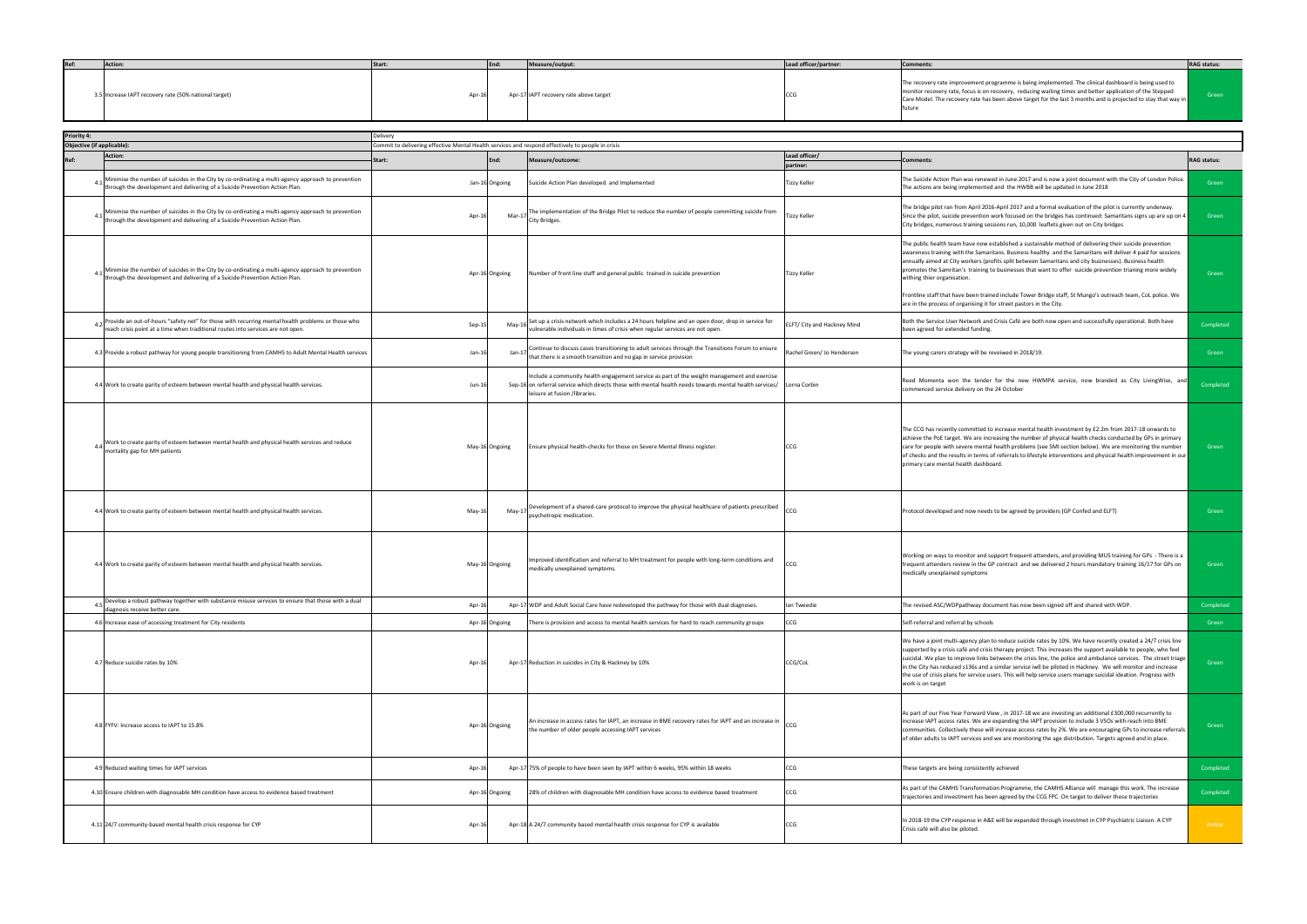| Ref: | Action:                                               | End:<br>Start: | Measure/output:                        | Lead officer/partner: | <b>Comments:</b>                                                                                                                                                                                                                                                                                                                              | <b>RAG status:</b> |
|------|-------------------------------------------------------|----------------|----------------------------------------|-----------------------|-----------------------------------------------------------------------------------------------------------------------------------------------------------------------------------------------------------------------------------------------------------------------------------------------------------------------------------------------|--------------------|
|      | 3.5 Increase IAPT recovery rate (50% national target) | Apr-1          | Apr-17 IAPT recovery rate above target |                       | The recovery rate improvement programme is being implemented. The clinical dashboard is being used to<br>monitor recovery rate, focus is on recovery, reducing waiting times and better application of the Stepped<br>Care Model. The recovery rate has been above target for the last 3 months and is projected to stay that way in<br>tutur | Green              |

| Priority 4:<br>Objective (if applicable) |                                                                                                                                                                                       | Delivery<br>Commit to delivering effective Mental Health services and respond effectively to people in crisis |         |                                                                                                                                                                                                                                         |                             |                                                                                                                                                                                                                                                                                                                                                                                                                                                                                                                                                                                                              |                    |
|------------------------------------------|---------------------------------------------------------------------------------------------------------------------------------------------------------------------------------------|---------------------------------------------------------------------------------------------------------------|---------|-----------------------------------------------------------------------------------------------------------------------------------------------------------------------------------------------------------------------------------------|-----------------------------|--------------------------------------------------------------------------------------------------------------------------------------------------------------------------------------------------------------------------------------------------------------------------------------------------------------------------------------------------------------------------------------------------------------------------------------------------------------------------------------------------------------------------------------------------------------------------------------------------------------|--------------------|
|                                          | <b>Action:</b>                                                                                                                                                                        |                                                                                                               |         |                                                                                                                                                                                                                                         | Lead officer/               |                                                                                                                                                                                                                                                                                                                                                                                                                                                                                                                                                                                                              |                    |
| ef:                                      |                                                                                                                                                                                       | start:                                                                                                        | End:    | Measure/outcome:                                                                                                                                                                                                                        | partner:                    | Comments:                                                                                                                                                                                                                                                                                                                                                                                                                                                                                                                                                                                                    | <b>RAG status:</b> |
|                                          | Minimise the number of suicides in the City by co-ordinating a multi-agency approach to prevention<br>through the development and delivering of a Suicide Prevention Action Plan.     | Jan-16 Ongoing                                                                                                |         | Suicide Action Plan developed and Implemented                                                                                                                                                                                           | <b>Tizzy Keller</b>         | The Suicide Action Plan was renewed in June 2017 and is now a joint document with the City of London Police.<br>The actions are being implemented and the HWBB will be updated in June 2018                                                                                                                                                                                                                                                                                                                                                                                                                  | Green              |
|                                          | Minimise the number of suicides in the City by co-ordinating a multi-agency approach to prevention<br>through the development and delivering of a Suicide Prevention Action Plan.     | Apr-16                                                                                                        | Mar-1   | The implementation of the Bridge Pilot to reduce the number of people committing suicide from<br>City Bridges.                                                                                                                          | <b>Tizzy Keller</b>         | The bridge pilot ran from April 2016-April 2017 and a formal evaluation of the pilot is currently underway.<br>Since the pilot, suicide prevention work focused on the bridges has continued: Samaritans signs up are up on 4<br>City bridges, numerous training sessions run, 10,000 leaflets given out on City bridges                                                                                                                                                                                                                                                                                     | Green              |
|                                          | Minimise the number of suicides in the City by co-ordinating a multi-agency approach to prevention<br>through the development and delivering of a Suicide Prevention Action Plan.     | Apr-16 Ongoing                                                                                                |         | Number of front line staff and general public trained in suicide prevention                                                                                                                                                             | <b>Tizzy Keller</b>         | The public health team have now established a sustainable method of delivering their suicide prevention<br>awareness training with the Samaritans. Business healthy and the Samaritans will deliver 4 paid for sessions<br>annually aimed at City workers (profits split between Samaritans and city businesses). Business health<br>promotes the Samritan's training to businesses that want to offer suicide prevention trianing more widely<br>withing thier organisation.<br>Frontline staff that have been trained include Tower Bridge staff, St Mungo's outreach team, CoL police. We                 | Green              |
|                                          |                                                                                                                                                                                       |                                                                                                               |         |                                                                                                                                                                                                                                         |                             | are in the process of organising it for street pastors in the City.                                                                                                                                                                                                                                                                                                                                                                                                                                                                                                                                          |                    |
|                                          | Provide an out-of-hours "safety net" for those with recurring mental health problems or those who<br>reach crisis point at a time when traditional routes into services are not open. | Sep-15                                                                                                        | May-16  | Set up a crisis network which includes a 24 hours helpline and an open door, drop in service for<br>vulnerable individuals in times of crisis when regular services are not open.                                                       | ELFT/ City and Hackney Mind | Both the Service User Network and Crisis Café are both now open and successfully operational. Both have<br>been agreed for extended funding.                                                                                                                                                                                                                                                                                                                                                                                                                                                                 | Completed          |
|                                          | 4.3 Provide a robust pathway for young people transitioning from CAMHS to Adult Mental Health services                                                                                | Jan-16                                                                                                        | $Jan-1$ | Continue to discuss cases transitioning to adult services through the Transitions Forum to ensure<br>that there is a smooth transition and no gap in service provision                                                                  | Rachel Green/ Jo Hendersen  | The young carers strategy will be reveiwed in 2018/19.                                                                                                                                                                                                                                                                                                                                                                                                                                                                                                                                                       | Green              |
|                                          | 4.4 Work to create parity of esteem between mental health and physical health services.                                                                                               | Jun-16                                                                                                        |         | Include a community health engagement service as part of the weight management and exercise<br>Sep-16 on referral service which directs those with mental health needs towards mental health services/<br>leisure at fusion /libraries. | Lorna Corbin                | Reed Momenta won the tender for the new HWMPA service, now branded as City LivingWise, and<br>commenced service delivery on the 24 October                                                                                                                                                                                                                                                                                                                                                                                                                                                                   | Completed          |
|                                          | Work to create parity of esteem between mental health and physical health services and reduce<br>mortality gap for MH patients                                                        | May-16 Ongoing                                                                                                |         | Ensure physical health-checks for those on Severe Mental Illness register.                                                                                                                                                              | CCG                         | The CCG has recently committed to increase mental health investment by £2.2m from 2017-18 onwards to<br>achieve the PoE target. We are increasing the number of physical health checks conducted by GPs in primary<br>care for people with severe mental health problems (see SMI section below). We are monitoring the number<br>of checks and the results in terms of referrals to lifestyle interventions and physical health improvement in our<br>primary care mental health dashboard.                                                                                                                 | Green              |
|                                          | 4.4 Work to create parity of esteem between mental health and physical health services.                                                                                               | May-1                                                                                                         | $May-1$ | Development of a shared-care protocol to improve the physical healthcare of patients prescribed<br>psychotropic medication.                                                                                                             |                             | Protocol developed and now needs to be agreed by providers (GP Confed and ELFT)                                                                                                                                                                                                                                                                                                                                                                                                                                                                                                                              | Green              |
|                                          | 4.4 Work to create parity of esteem between mental health and physical health services.                                                                                               | May-16 Ongoing                                                                                                |         | Improved identification and referral to MH treatment for people with long-term conditions and<br>medically unexplained symptoms.                                                                                                        | CCG                         | Working on ways to monitor and support frequent attenders, and providing MUS training for GPs - There is a<br>frequent attenders review in the GP contract and we delivered 2 hours mandatory training 16/17 for GPs on<br>medically unexplained symptoms                                                                                                                                                                                                                                                                                                                                                    | Green              |
|                                          | Develop a robust pathway together with substance misuse services to ensure that those with a dual                                                                                     | Apr-16                                                                                                        |         | Apr-17 WDP and Adult Social Care have redeveloped the pathway for those with dual diagnoses.                                                                                                                                            | lan Tweedie                 | The revised ASC/WDPpathway document has now been signed off and shared with WDP.                                                                                                                                                                                                                                                                                                                                                                                                                                                                                                                             | Completed          |
|                                          | diagnosis receive better care.                                                                                                                                                        |                                                                                                               |         |                                                                                                                                                                                                                                         |                             |                                                                                                                                                                                                                                                                                                                                                                                                                                                                                                                                                                                                              |                    |
|                                          | 4.6 Increase ease of accessing treatment for City residents                                                                                                                           | Apr-16 Ongoing                                                                                                |         | There is provision and access to mental health services for hard to reach community groups                                                                                                                                              | CCG                         | Self-referral and referral by schools                                                                                                                                                                                                                                                                                                                                                                                                                                                                                                                                                                        | Green              |
|                                          | 4.7 Reduce suicide rates by 10%                                                                                                                                                       | Apr-1                                                                                                         |         | Apr-17 Reduction in suicides in City & Hackney by 10%                                                                                                                                                                                   | CCG/CoL                     | We have a joint multi-agency plan to reduce suicide rates by 10%. We have recently created a 24/7 crisis line<br>supported by a crisis café and crisis therapy project. This increases the support available to people, who feel<br>suicidal. We plan to improve links between the crisis line, the police and ambulance services. The street triage<br>in the City has reduced s136s and a similar service iwll be piloted in Hackney. We will monitor and increase<br>the use of crisis plans for service users. This will help service users manage suicidal ideation. Progress with<br>work is on target | Green              |
|                                          | 4.8 FYFV: Increase access to IAPT to 15.8%                                                                                                                                            | Apr-16 Ongoing                                                                                                |         | An increase in access rates for IAPT, an increase in BME recovery rates for IAPT and an increase in<br>the number of older people accessing IAPT services                                                                               |                             | As part of our Five Year Forward View, in 2017-18 we are investing an additional £300,000 recurrently to<br>increase IAPT access rates. We are expanding the IAPT provision to include 3 VSOs with reach into BME<br>communities. Collectively these will increase access rates by 2%. We are encouraging GPs to increase referrals<br>of older adults to IAPT services and we are monitoring the age distribution. Targets agreed and in place.                                                                                                                                                             | Green              |
|                                          | 4.9 Reduced waiting times for IAPT services                                                                                                                                           | Apr-16                                                                                                        |         | Apr-17 75% of people to have been seen by IAPT within 6 weeks, 95% within 18 weeks                                                                                                                                                      | CCG                         | These targets are being consistently achieved                                                                                                                                                                                                                                                                                                                                                                                                                                                                                                                                                                | Completed          |
|                                          | 4.10 Ensure children with diagnosable MH condition have access to evidence based treatment                                                                                            | Apr-16 Ongoing                                                                                                |         | 28% of children with diagnosable MH condition have access to evidence based treatment                                                                                                                                                   | CCG                         | As part of the CAMHS Transformation Programme, the CAMHS Alliance will manage this work. The increase<br>trajectories and investment has been agreed by the CCG FPC. On target to deliver these trajectories                                                                                                                                                                                                                                                                                                                                                                                                 | Completed          |
|                                          | 4.11 24/7 community-based mental health crisis response for CYP                                                                                                                       | Apr-16                                                                                                        |         | Apr-18 A 24/7 community based mental health crisis response for CYP is available                                                                                                                                                        | CCG                         | In 2018-19 the CYP response in A&E will be expanded through investmet in CYP Psychiatric Liaison. A CYP<br>Crisis café will also be piloted.                                                                                                                                                                                                                                                                                                                                                                                                                                                                 | Amber              |